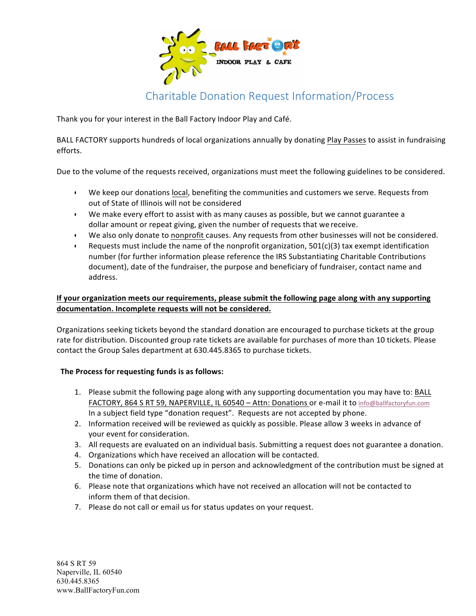

## Charitable Donation Request Information/Process

Thank you for your interest in the Ball Factory Indoor Play and Café.

BALL FACTORY supports hundreds of local organizations annually by donating Play Passes to assist in fundraising efforts. 

Due to the volume of the requests received, organizations must meet the following guidelines to be considered.

- We keep our donations local, benefiting the communities and customers we serve. Requests from out of State of Illinois will not be considered
- We make every effort to assist with as many causes as possible, but we cannot guarantee a dollar amount or repeat giving, given the number of requests that we receive.
- We also only donate to nonprofit causes. Any requests from other businesses will not be considered.
- Requests must include the name of the nonprofit organization,  $501(c)(3)$  tax exempt identification number (for further information please reference the IRS Substantiating Charitable Contributions document), date of the fundraiser, the purpose and beneficiary of fundraiser, contact name and address.

## If your organization meets our requirements, please submit the following page along with any supporting documentation. Incomplete requests will not be considered.

Organizations seeking tickets beyond the standard donation are encouraged to purchase tickets at the group rate for distribution. Discounted group rate tickets are available for purchases of more than 10 tickets. Please contact the Group Sales department at 630.445.8365 to purchase tickets.

## The Process for requesting funds is as follows:

- 1. Please submit the following page along with any supporting documentation you may have to: BALL FACTORY, 864 S RT 59, NAPERVILLE, IL 60540 - Attn: Donations or e-mail it to info@ballfactoryfun.com In a subject field type "donation request". Requests are not accepted by phone.
- 2. Information received will be reviewed as quickly as possible. Please allow 3 weeks in advance of your event for consideration.
- 3. All requests are evaluated on an individual basis. Submitting a request does not guarantee a donation.
- 4. Organizations which have received an allocation will be contacted.
- 5. Donations can only be picked up in person and acknowledgment of the contribution must be signed at the time of donation.
- 6. Please note that organizations which have not received an allocation will not be contacted to inform them of that decision.
- 7. Please do not call or email us for status updates on your request.